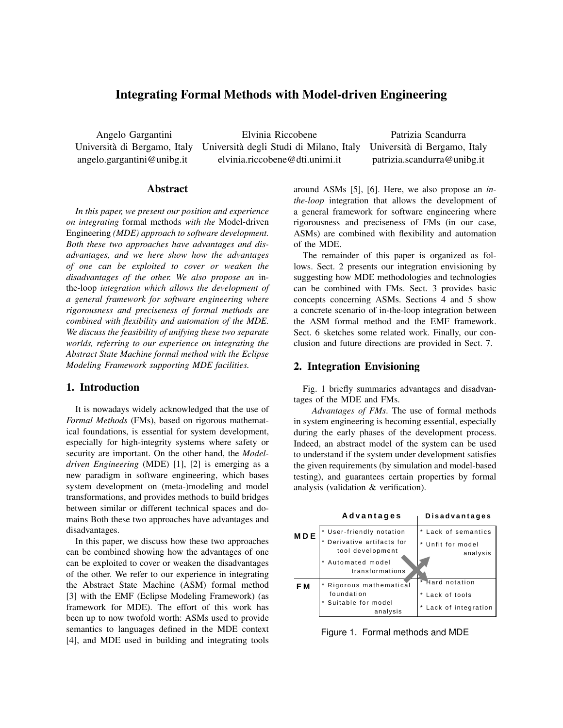# Integrating Formal Methods with Model-driven Engineering

Angelo Gargantini Università di Bergamo, Italy angelo.gargantini@unibg.it

Elvinia Riccobene Università degli Studi di Milano, Italy elvinia.riccobene@dti.unimi.it

Patrizia Scandurra Università di Bergamo, Italy patrizia.scandurra@unibg.it

## Abstract

*In this paper, we present our position and experience on integrating* formal methods *with the* Model-driven Engineering *(MDE) approach to software development. Both these two approaches have advantages and disadvantages, and we here show how the advantages of one can be exploited to cover or weaken the disadvantages of the other. We also propose an* inthe-loop *integration which allows the development of a general framework for software engineering where rigorousness and preciseness of formal methods are combined with flexibility and automation of the MDE. We discuss the feasibility of unifying these two separate worlds, referring to our experience on integrating the Abstract State Machine formal method with the Eclipse Modeling Framework supporting MDE facilities.*

## 1. Introduction

It is nowadays widely acknowledged that the use of *Formal Methods* (FMs), based on rigorous mathematical foundations, is essential for system development, especially for high-integrity systems where safety or security are important. On the other hand, the *Modeldriven Engineering* (MDE) [1], [2] is emerging as a new paradigm in software engineering, which bases system development on (meta-)modeling and model transformations, and provides methods to build bridges between similar or different technical spaces and domains Both these two approaches have advantages and disadvantages.

In this paper, we discuss how these two approaches can be combined showing how the advantages of one can be exploited to cover or weaken the disadvantages of the other. We refer to our experience in integrating the Abstract State Machine (ASM) formal method [3] with the EMF (Eclipse Modeling Framework) (as framework for MDE). The effort of this work has been up to now twofold worth: ASMs used to provide semantics to languages defined in the MDE context [4], and MDE used in building and integrating tools

around ASMs [5], [6]. Here, we also propose an *inthe-loop* integration that allows the development of a general framework for software engineering where rigorousness and preciseness of FMs (in our case, ASMs) are combined with flexibility and automation of the MDE.

The remainder of this paper is organized as follows. Sect. 2 presents our integration envisioning by suggesting how MDE methodologies and technologies can be combined with FMs. Sect. 3 provides basic concepts concerning ASMs. Sections 4 and 5 show a concrete scenario of in-the-loop integration between the ASM formal method and the EMF framework. Sect. 6 sketches some related work. Finally, our conclusion and future directions are provided in Sect. 7.

## 2. Integration Envisioning

Fig. 1 briefly summaries advantages and disadvantages of the MDE and FMs.

*Advantages of FMs*. The use of formal methods in system engineering is becoming essential, especially during the early phases of the development process. Indeed, an abstract model of the system can be used to understand if the system under development satisfies the given requirements (by simulation and model-based testing), and guarantees certain properties by formal analysis (validation & verification).



Figure 1. Formal methods and MDE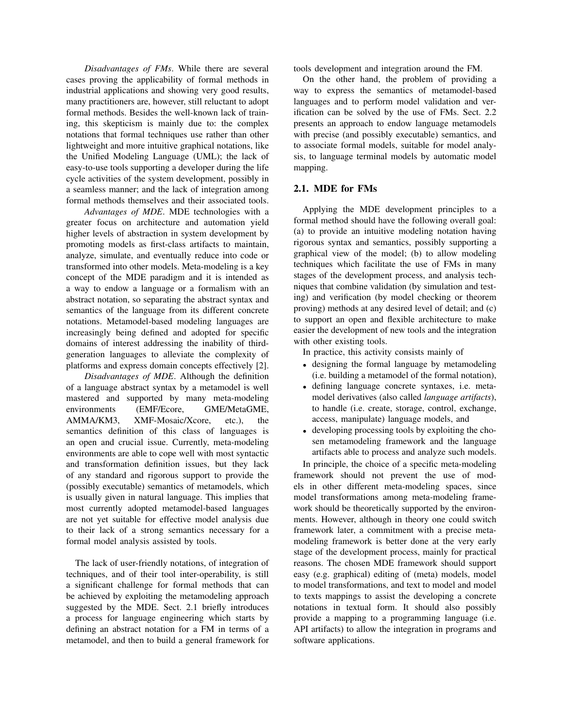*Disadvantages of FMs*. While there are several cases proving the applicability of formal methods in industrial applications and showing very good results, many practitioners are, however, still reluctant to adopt formal methods. Besides the well-known lack of training, this skepticism is mainly due to: the complex notations that formal techniques use rather than other lightweight and more intuitive graphical notations, like the Unified Modeling Language (UML); the lack of easy-to-use tools supporting a developer during the life cycle activities of the system development, possibly in a seamless manner; and the lack of integration among formal methods themselves and their associated tools.

*Advantages of MDE*. MDE technologies with a greater focus on architecture and automation yield higher levels of abstraction in system development by promoting models as first-class artifacts to maintain, analyze, simulate, and eventually reduce into code or transformed into other models. Meta-modeling is a key concept of the MDE paradigm and it is intended as a way to endow a language or a formalism with an abstract notation, so separating the abstract syntax and semantics of the language from its different concrete notations. Metamodel-based modeling languages are increasingly being defined and adopted for specific domains of interest addressing the inability of thirdgeneration languages to alleviate the complexity of platforms and express domain concepts effectively [2].

*Disadvantages of MDE*. Although the definition of a language abstract syntax by a metamodel is well mastered and supported by many meta-modeling environments (EMF/Ecore, GME/MetaGME, AMMA/KM3, XMF-Mosaic/Xcore, etc.), the semantics definition of this class of languages is an open and crucial issue. Currently, meta-modeling environments are able to cope well with most syntactic and transformation definition issues, but they lack of any standard and rigorous support to provide the (possibly executable) semantics of metamodels, which is usually given in natural language. This implies that most currently adopted metamodel-based languages are not yet suitable for effective model analysis due to their lack of a strong semantics necessary for a formal model analysis assisted by tools.

The lack of user-friendly notations, of integration of techniques, and of their tool inter-operability, is still a significant challenge for formal methods that can be achieved by exploiting the metamodeling approach suggested by the MDE. Sect. 2.1 briefly introduces a process for language engineering which starts by defining an abstract notation for a FM in terms of a metamodel, and then to build a general framework for

tools development and integration around the FM.

On the other hand, the problem of providing a way to express the semantics of metamodel-based languages and to perform model validation and verification can be solved by the use of FMs. Sect. 2.2 presents an approach to endow language metamodels with precise (and possibly executable) semantics, and to associate formal models, suitable for model analysis, to language terminal models by automatic model mapping.

#### 2.1. MDE for FMs

Applying the MDE development principles to a formal method should have the following overall goal: (a) to provide an intuitive modeling notation having rigorous syntax and semantics, possibly supporting a graphical view of the model; (b) to allow modeling techniques which facilitate the use of FMs in many stages of the development process, and analysis techniques that combine validation (by simulation and testing) and verification (by model checking or theorem proving) methods at any desired level of detail; and (c) to support an open and flexible architecture to make easier the development of new tools and the integration with other existing tools.

In practice, this activity consists mainly of

- <sup>∙</sup> designing the formal language by metamodeling (i.e. building a metamodel of the formal notation),
- <sup>∙</sup> defining language concrete syntaxes, i.e. metamodel derivatives (also called *language artifacts*), to handle (i.e. create, storage, control, exchange, access, manipulate) language models, and
- <sup>∙</sup> developing processing tools by exploiting the chosen metamodeling framework and the language artifacts able to process and analyze such models.

In principle, the choice of a specific meta-modeling framework should not prevent the use of models in other different meta-modeling spaces, since model transformations among meta-modeling framework should be theoretically supported by the environments. However, although in theory one could switch framework later, a commitment with a precise metamodeling framework is better done at the very early stage of the development process, mainly for practical reasons. The chosen MDE framework should support easy (e.g. graphical) editing of (meta) models, model to model transformations, and text to model and model to texts mappings to assist the developing a concrete notations in textual form. It should also possibly provide a mapping to a programming language (i.e. API artifacts) to allow the integration in programs and software applications.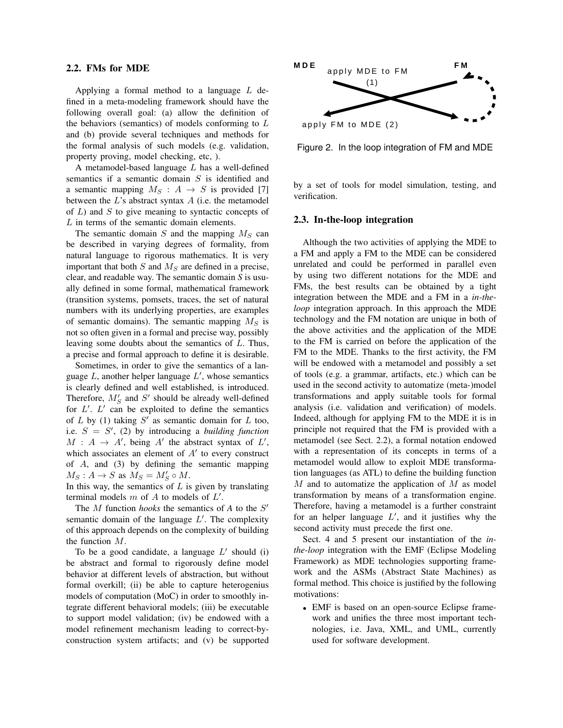#### 2.2. FMs for MDE

Applying a formal method to a language  $L$  defined in a meta-modeling framework should have the following overall goal: (a) allow the definition of the behaviors (semantics) of models conforming to  $L$ and (b) provide several techniques and methods for the formal analysis of such models (e.g. validation, property proving, model checking, etc, ).

A metamodel-based language  $L$  has a well-defined semantics if a semantic domain  $S$  is identified and a semantic mapping  $M_S$  :  $A \rightarrow S$  is provided [7] between the  $L$ 's abstract syntax  $A$  (i.e. the metamodel of  $L$ ) and  $S$  to give meaning to syntactic concepts of  $L$  in terms of the semantic domain elements.

The semantic domain  $S$  and the mapping  $M_S$  can be described in varying degrees of formality, from natural language to rigorous mathematics. It is very important that both  $S$  and  $M<sub>S</sub>$  are defined in a precise, clear, and readable way. The semantic domain *S* is usually defined in some formal, mathematical framework (transition systems, pomsets, traces, the set of natural numbers with its underlying properties, are examples of semantic domains). The semantic mapping  $M<sub>S</sub>$  is not so often given in a formal and precise way, possibly leaving some doubts about the semantics of  $L$ . Thus, a precise and formal approach to define it is desirable.

Sometimes, in order to give the semantics of a language  $L$ , another helper language  $L'$ , whose semantics is clearly defined and well established, is introduced. Therefore,  $M'_S$  and  $S'$  should be already well-defined for  $L'$ .  $L'$  can be exploited to define the semantics of  $L$  by (1) taking  $S'$  as semantic domain for  $L$  too, i.e.  $S = S'$ , (2) by introducing a *building function*  $M : A \rightarrow A'$ , being A' the abstract syntax of  $L'$ , which associates an element of  $A'$  to every construct of  $A$ , and  $(3)$  by defining the semantic mapping  $M_S: A \to S$  as  $M_S = M'_S \circ M$ .

In this way, the semantics of  $L$  is given by translating terminal models  $m$  of  $A$  to models of  $L'$ .

The  $M$  function *hooks* the semantics of  $A$  to the  $S'$ semantic domain of the language  $L'$ . The complexity of this approach depends on the complexity of building the function  $M$ .

To be a good candidate, a language  $L'$  should (i) be abstract and formal to rigorously define model behavior at different levels of abstraction, but without formal overkill; (ii) be able to capture heterogenius models of computation (MoC) in order to smoothly integrate different behavioral models; (iii) be executable to support model validation; (iv) be endowed with a model refinement mechanism leading to correct-byconstruction system artifacts; and (v) be supported



Figure 2. In the loop integration of FM and MDE

by a set of tools for model simulation, testing, and verification.

#### 2.3. In-the-loop integration

Although the two activities of applying the MDE to a FM and apply a FM to the MDE can be considered unrelated and could be performed in parallel even by using two different notations for the MDE and FMs, the best results can be obtained by a tight integration between the MDE and a FM in a *in-theloop* integration approach. In this approach the MDE technology and the FM notation are unique in both of the above activities and the application of the MDE to the FM is carried on before the application of the FM to the MDE. Thanks to the first activity, the FM will be endowed with a metamodel and possibly a set of tools (e.g. a grammar, artifacts, etc.) which can be used in the second activity to automatize (meta-)model transformations and apply suitable tools for formal analysis (i.e. validation and verification) of models. Indeed, although for applying FM to the MDE it is in principle not required that the FM is provided with a metamodel (see Sect. 2.2), a formal notation endowed with a representation of its concepts in terms of a metamodel would allow to exploit MDE transformation languages (as ATL) to define the building function  $M$  and to automatize the application of  $M$  as model transformation by means of a transformation engine. Therefore, having a metamodel is a further constraint for an helper language  $L'$ , and it justifies why the second activity must precede the first one.

Sect. 4 and 5 present our instantiation of the *inthe-loop* integration with the EMF (Eclipse Modeling Framework) as MDE technologies supporting framework and the ASMs (Abstract State Machines) as formal method. This choice is justified by the following motivations:

<sup>∙</sup> EMF is based on an open-source Eclipse framework and unifies the three most important technologies, i.e. Java, XML, and UML, currently used for software development.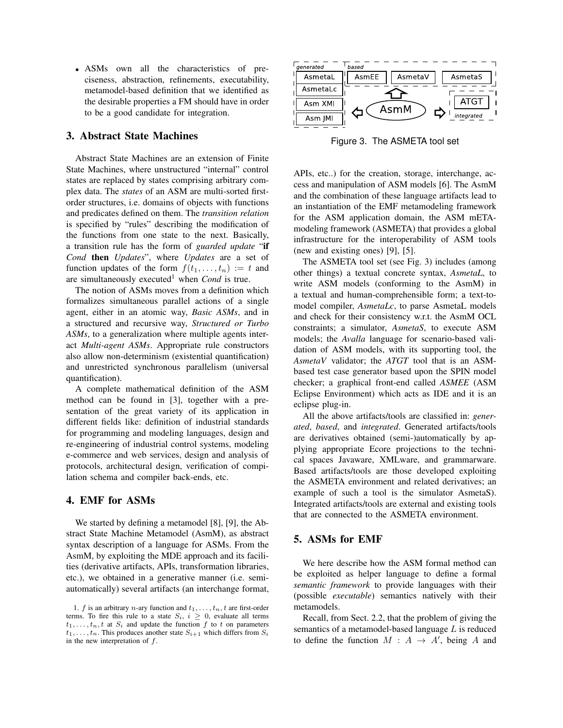<sup>∙</sup> ASMs own all the characteristics of preciseness, abstraction, refinements, executability, metamodel-based definition that we identified as the desirable properties a FM should have in order to be a good candidate for integration.

## 3. Abstract State Machines

Abstract State Machines are an extension of Finite State Machines, where unstructured "internal" control states are replaced by states comprising arbitrary complex data. The *states* of an ASM are multi-sorted firstorder structures, i.e. domains of objects with functions and predicates defined on them. The *transition relation* is specified by "rules" describing the modification of the functions from one state to the next. Basically, a transition rule has the form of *guarded update* "if *Cond* then *Updates*", where *Updates* are a set of function updates of the form  $f(t_1, \ldots, t_n) := t$  and are simultaneously executed<sup>1</sup> when *Cond* is true.

The notion of ASMs moves from a definition which formalizes simultaneous parallel actions of a single agent, either in an atomic way, *Basic ASMs*, and in a structured and recursive way, *Structured or Turbo ASMs*, to a generalization where multiple agents interact *Multi-agent ASMs*. Appropriate rule constructors also allow non-determinism (existential quantification) and unrestricted synchronous parallelism (universal quantification).

A complete mathematical definition of the ASM method can be found in [3], together with a presentation of the great variety of its application in different fields like: definition of industrial standards for programming and modeling languages, design and re-engineering of industrial control systems, modeling e-commerce and web services, design and analysis of protocols, architectural design, verification of compilation schema and compiler back-ends, etc.

# 4. EMF for ASMs

We started by defining a metamodel [8], [9], the Abstract State Machine Metamodel (AsmM), as abstract syntax description of a language for ASMs. From the AsmM, by exploiting the MDE approach and its facilities (derivative artifacts, APIs, transformation libraries, etc.), we obtained in a generative manner (i.e. semiautomatically) several artifacts (an interchange format,



Figure 3. The ASMETA tool set

APIs, etc..) for the creation, storage, interchange, access and manipulation of ASM models [6]. The AsmM and the combination of these language artifacts lead to an instantiation of the EMF metamodeling framework for the ASM application domain, the ASM mETAmodeling framework (ASMETA) that provides a global infrastructure for the interoperability of ASM tools (new and existing ones) [9], [5].

The ASMETA tool set (see Fig. 3) includes (among other things) a textual concrete syntax, *AsmetaL*, to write ASM models (conforming to the AsmM) in a textual and human-comprehensible form; a text-tomodel compiler, *AsmetaLc*, to parse AsmetaL models and check for their consistency w.r.t. the AsmM OCL constraints; a simulator, *AsmetaS*, to execute ASM models; the *Avalla* language for scenario-based validation of ASM models, with its supporting tool, the *AsmetaV* validator; the *ATGT* tool that is an ASMbased test case generator based upon the SPIN model checker; a graphical front-end called *ASMEE* (ASM Eclipse Environment) which acts as IDE and it is an eclipse plug-in.

All the above artifacts/tools are classified in: *generated*, *based*, and *integrated*. Generated artifacts/tools are derivatives obtained (semi-)automatically by applying appropriate Ecore projections to the technical spaces Javaware, XMLware, and grammarware. Based artifacts/tools are those developed exploiting the ASMETA environment and related derivatives; an example of such a tool is the simulator AsmetaS). Integrated artifacts/tools are external and existing tools that are connected to the ASMETA environment.

# 5. ASMs for EMF

We here describe how the ASM formal method can be exploited as helper language to define a formal *semantic framework* to provide languages with their (possible *executable*) semantics natively with their metamodels.

Recall, from Sect. 2.2, that the problem of giving the semantics of a metamodel-based language  $L$  is reduced to define the function  $M : A \rightarrow A'$ , being A and

<sup>1.</sup>  $f$  is an arbitrary  $n$ -ary function and  $t_1, \ldots, t_n$ ,  $t$  are first-order terms. To fire this rule to a state  $S_i$ ,  $i \geq 0$ , evaluate all terms  $t_1, \ldots, t_n, t$  at  $S_i$  and update the function  $f$  to  $t$  on parameters  $t_1, \ldots, t_n$ . This produces another state  $S_{i+1}$  which differs from  $S_i$ in the new interpretation of  $f$ .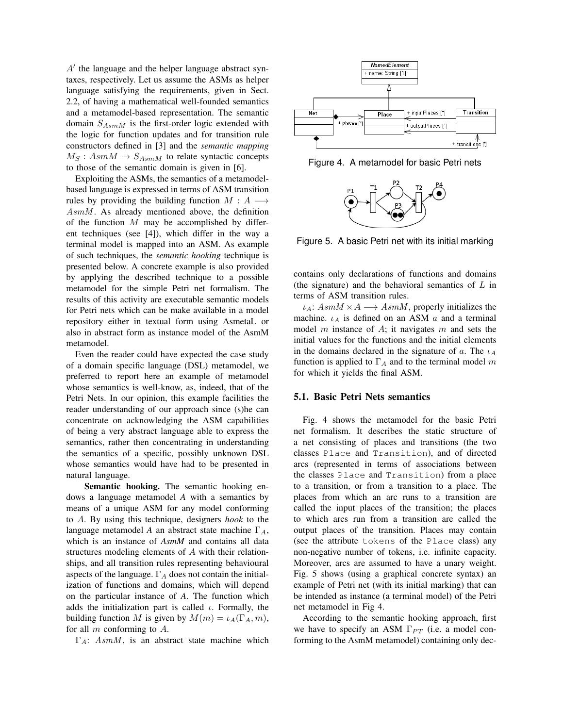$A'$  the language and the helper language abstract syntaxes, respectively. Let us assume the ASMs as helper language satisfying the requirements, given in Sect. 2.2, of having a mathematical well-founded semantics and a metamodel-based representation. The semantic domain  $S_{AsmM}$  is the first-order logic extended with the logic for function updates and for transition rule constructors defined in [3] and the *semantic mapping*  $M_S: AsmM \to S_{AsmM}$  to relate syntactic concepts to those of the semantic domain is given in [6].

Exploiting the ASMs, the semantics of a metamodelbased language is expressed in terms of ASM transition rules by providing the building function  $M : A \longrightarrow$  $AsmM$ . As already mentioned above, the definition of the function  $M$  may be accomplished by different techniques (see [4]), which differ in the way a terminal model is mapped into an ASM. As example of such techniques, the *semantic hooking* technique is presented below. A concrete example is also provided by applying the described technique to a possible metamodel for the simple Petri net formalism. The results of this activity are executable semantic models for Petri nets which can be make available in a model repository either in textual form using AsmetaL or also in abstract form as instance model of the AsmM metamodel.

Even the reader could have expected the case study of a domain specific language (DSL) metamodel, we preferred to report here an example of metamodel whose semantics is well-know, as, indeed, that of the Petri Nets. In our opinion, this example facilities the reader understanding of our approach since (s)he can concentrate on acknowledging the ASM capabilities of being a very abstract language able to express the semantics, rather then concentrating in understanding the semantics of a specific, possibly unknown DSL whose semantics would have had to be presented in natural language.

Semantic hooking. The semantic hooking endows a language metamodel *A* with a semantics by means of a unique ASM for any model conforming to A. By using this technique, designers *hook* to the language metamodel *A* an abstract state machine  $\Gamma_A$ , which is an instance of *AsmM* and contains all data structures modeling elements of  $A$  with their relationships, and all transition rules representing behavioural aspects of the language.  $\Gamma_A$  does not contain the initialization of functions and domains, which will depend on the particular instance of *A*. The function which adds the initialization part is called  $\iota$ . Formally, the building function M is given by  $M(m) = \iota_A(\Gamma_A, m)$ , for all  $m$  conforming to  $A$ .

 $\Gamma_A$ : AsmM, is an abstract state machine which



Figure 4. A metamodel for basic Petri nets



Figure 5. A basic Petri net with its initial marking

contains only declarations of functions and domains (the signature) and the behavioral semantics of  $L$  in terms of ASM transition rules.

 $\iota_A: AsmM \times A \longrightarrow AsmM$ , properly initializes the machine.  $\iota_A$  is defined on an ASM  $\alpha$  and a terminal model  $m$  instance of  $A$ ; it navigates  $m$  and sets the initial values for the functions and the initial elements in the domains declared in the signature of  $a$ . The  $\iota_A$ function is applied to  $\Gamma_A$  and to the terminal model m for which it yields the final ASM.

#### 5.1. Basic Petri Nets semantics

Fig. 4 shows the metamodel for the basic Petri net formalism. It describes the static structure of a net consisting of places and transitions (the two classes Place and Transition), and of directed arcs (represented in terms of associations between the classes Place and Transition) from a place to a transition, or from a transition to a place. The places from which an arc runs to a transition are called the input places of the transition; the places to which arcs run from a transition are called the output places of the transition. Places may contain (see the attribute tokens of the Place class) any non-negative number of tokens, i.e. infinite capacity. Moreover, arcs are assumed to have a unary weight. Fig. 5 shows (using a graphical concrete syntax) an example of Petri net (with its initial marking) that can be intended as instance (a terminal model) of the Petri net metamodel in Fig 4.

According to the semantic hooking approach, first we have to specify an ASM  $\Gamma_{PT}$  (i.e. a model conforming to the AsmM metamodel) containing only dec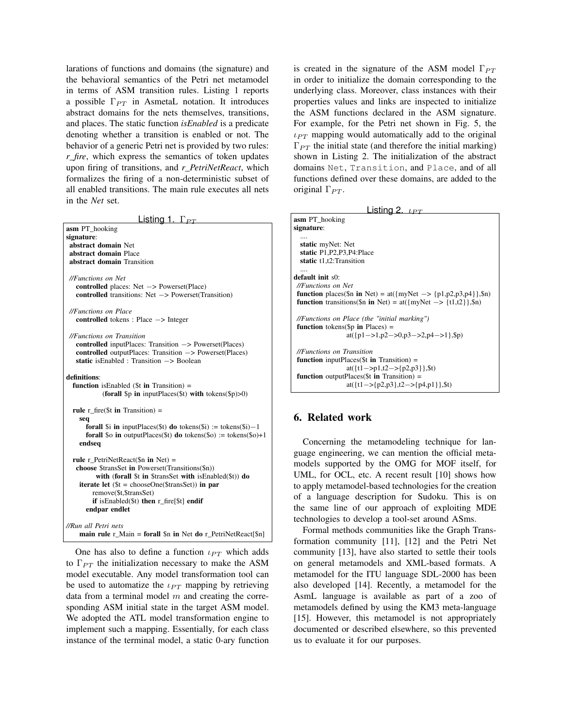larations of functions and domains (the signature) and the behavioral semantics of the Petri net metamodel in terms of ASM transition rules. Listing 1 reports a possible  $\Gamma_{PT}$  in AsmetaL notation. It introduces abstract domains for the nets themselves, transitions, and places. The static function *isEnabled* is a predicate denoting whether a transition is enabled or not. The behavior of a generic Petri net is provided by two rules: *r\_fire*, which express the semantics of token updates upon firing of transitions, and *r\_PetriNetReact*, which formalizes the firing of a non-deterministic subset of all enabled transitions. The main rule executes all nets in the *Net* set.

Listing 1.  $\Gamma_{PT}$ 

| asm PT_hooking<br>signature:<br>abstract domain Net<br>abstract domain Place<br>abstract domain Transition                                                                                                                                                                                                           |  |
|----------------------------------------------------------------------------------------------------------------------------------------------------------------------------------------------------------------------------------------------------------------------------------------------------------------------|--|
| //Functions on Net<br><b>controlled</b> places: $Net \rightarrow Powerset(Place)$<br><b>controlled</b> transitions: Net $\rightarrow$ Powerset(Transition)                                                                                                                                                           |  |
| //Functions on Place<br><b>controlled</b> tokens : Place $\rightarrow$ Integer                                                                                                                                                                                                                                       |  |
| //Functions on Transition<br><b>controlled</b> inputPlaces: Transition $\rightarrow$ Powerset(Places)<br><b>controlled</b> outputPlaces: Transition $\rightarrow$ Powerset(Places)<br>static is Enabled : Transition $\rightarrow$ Boolean                                                                           |  |
| definitions:<br><b>function</b> is Enabled ( $$t$ in Transition) =<br>(forall $\wp$ in inputPlaces( $\%$ t) with tokens( $\wp$ )>0)                                                                                                                                                                                  |  |
| rule $r_f$ fire(\$t in Transition) =<br>seq<br><b>forall</b> \$i in inputPlaces(\$t) <b>do</b> tokens(\$i) := tokens(\$i)-1<br><b>forall</b> \$0 in outputPlaces(\$t) <b>do</b> tokens(\$o) := tokens(\$o)+1<br>endseq                                                                                               |  |
| rule r PetriNetReact( $\sin$ in Net) =<br>choose \$transSet in Powerset(Transitions(\$n))<br>with (forall $$t$ in $$transSet$ with is Enabled $$t)$ ) do<br><b>iterate let</b> $(\$t = chooseOne(\$transSet))$ in par<br>remove(\$t,\$transSet)<br>if is Enabled $(\$t)$ then r_fire[ $\$t$ ] endif<br>endpar endlet |  |
| //Run all Petri nets<br>main rule $r_M$ Main = forall \$n in Net do $r_R$ PetriNetReact[\$n]                                                                                                                                                                                                                         |  |

One has also to define a function  $\iota_{PT}$  which adds to  $\Gamma_{PT}$  the initialization necessary to make the ASM model executable. Any model transformation tool can be used to automatize the  $\iota_{PT}$  mapping by retrieving data from a terminal model  $m$  and creating the corresponding ASM initial state in the target ASM model. We adopted the ATL model transformation engine to implement such a mapping. Essentially, for each class instance of the terminal model, a static 0-ary function is created in the signature of the ASM model  $\Gamma_{PT}$ in order to initialize the domain corresponding to the underlying class. Moreover, class instances with their properties values and links are inspected to initialize the ASM functions declared in the ASM signature. For example, for the Petri net shown in Fig. 5, the  $\iota_{PT}$  mapping would automatically add to the original  $\Gamma_{PT}$  the initial state (and therefore the initial marking) shown in Listing 2. The initialization of the abstract domains Net, Transition, and Place, and of all functions defined over these domains, are added to the original  $\Gamma_{PT}$ .

| Listing 2. $\iota_{PT}$ |  |  |  |
|-------------------------|--|--|--|
|-------------------------|--|--|--|

| <b>asm</b> PT_hooking                                                            |
|----------------------------------------------------------------------------------|
| signature:                                                                       |
|                                                                                  |
| static myNet: Net                                                                |
| static P1, P2, P3, P4: Place                                                     |
| static t1,t2:Transition                                                          |
|                                                                                  |
| <b>default</b> init s0:                                                          |
|                                                                                  |
| //Functions on Net                                                               |
| <b>function</b> places(\$n in Net) = at({myNet $\rightarrow$ {p1,p2,p3,p4}},\$n) |
| <b>function</b> transitions(\$n in Net) = at({myNet $\rightarrow$ {t1,t2}},\$n)  |
|                                                                                  |
| //Functions on Place (the "initial marking")                                     |
| <b>function</b> tokens(\$p in Places) =                                          |
| at({ $p1 - >1, p2 - >0, p3 - >2, p4 - >1$ },\$p)                                 |
|                                                                                  |
| //Functions on Transition                                                        |
|                                                                                  |
| <b>function</b> inputPlaces(t <b>in</b> Transition) =                            |
| at( $\{t1 - >p1, t2 - > p2, p3\}$ , \$t)                                         |
| <b>function</b> outputPlaces(t <b>in</b> Transition) =                           |
| at( $\{t1 \rightarrow p2, p3\}, t2 \rightarrow p4, p1\}$ , st)                   |
|                                                                                  |

## 6. Related work

Concerning the metamodeling technique for language engineering, we can mention the official metamodels supported by the OMG for MOF itself, for UML, for OCL, etc. A recent result [10] shows how to apply metamodel-based technologies for the creation of a language description for Sudoku. This is on the same line of our approach of exploiting MDE technologies to develop a tool-set around ASms.

Formal methods communities like the Graph Transformation community [11], [12] and the Petri Net community [13], have also started to settle their tools on general metamodels and XML-based formats. A metamodel for the ITU language SDL-2000 has been also developed [14]. Recently, a metamodel for the AsmL language is available as part of a zoo of metamodels defined by using the KM3 meta-language [15]. However, this metamodel is not appropriately documented or described elsewhere, so this prevented us to evaluate it for our purposes.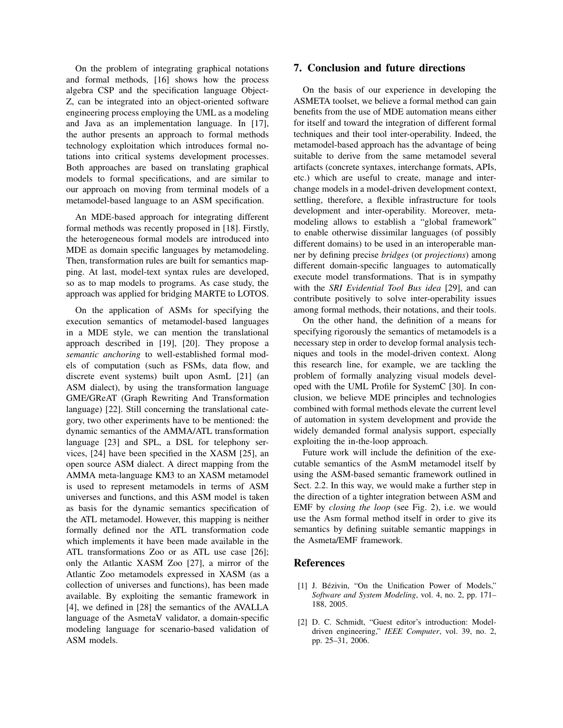On the problem of integrating graphical notations and formal methods, [16] shows how the process algebra CSP and the specification language Object-Z, can be integrated into an object-oriented software engineering process employing the UML as a modeling and Java as an implementation language. In [17], the author presents an approach to formal methods technology exploitation which introduces formal notations into critical systems development processes. Both approaches are based on translating graphical models to formal specifications, and are similar to our approach on moving from terminal models of a metamodel-based language to an ASM specification.

An MDE-based approach for integrating different formal methods was recently proposed in [18]. Firstly, the heterogeneous formal models are introduced into MDE as domain specific languages by metamodeling. Then, transformation rules are built for semantics mapping. At last, model-text syntax rules are developed, so as to map models to programs. As case study, the approach was applied for bridging MARTE to LOTOS.

On the application of ASMs for specifying the execution semantics of metamodel-based languages in a MDE style, we can mention the translational approach described in [19], [20]. They propose a *semantic anchoring* to well-established formal models of computation (such as FSMs, data flow, and discrete event systems) built upon AsmL [21] (an ASM dialect), by using the transformation language GME/GReAT (Graph Rewriting And Transformation language) [22]. Still concerning the translational category, two other experiments have to be mentioned: the dynamic semantics of the AMMA/ATL transformation language [23] and SPL, a DSL for telephony services, [24] have been specified in the XASM [25], an open source ASM dialect. A direct mapping from the AMMA meta-language KM3 to an XASM metamodel is used to represent metamodels in terms of ASM universes and functions, and this ASM model is taken as basis for the dynamic semantics specification of the ATL metamodel. However, this mapping is neither formally defined nor the ATL transformation code which implements it have been made available in the ATL transformations Zoo or as ATL use case [26]; only the Atlantic XASM Zoo [27], a mirror of the Atlantic Zoo metamodels expressed in XASM (as a collection of universes and functions), has been made available. By exploiting the semantic framework in [4], we defined in [28] the semantics of the AVALLA language of the AsmetaV validator, a domain-specific modeling language for scenario-based validation of ASM models.

### 7. Conclusion and future directions

On the basis of our experience in developing the ASMETA toolset, we believe a formal method can gain benefits from the use of MDE automation means either for itself and toward the integration of different formal techniques and their tool inter-operability. Indeed, the metamodel-based approach has the advantage of being suitable to derive from the same metamodel several artifacts (concrete syntaxes, interchange formats, APIs, etc.) which are useful to create, manage and interchange models in a model-driven development context, settling, therefore, a flexible infrastructure for tools development and inter-operability. Moreover, metamodeling allows to establish a "global framework" to enable otherwise dissimilar languages (of possibly different domains) to be used in an interoperable manner by defining precise *bridges* (or *projections*) among different domain-specific languages to automatically execute model transformations. That is in sympathy with the *SRI Evidential Tool Bus idea* [29], and can contribute positively to solve inter-operability issues among formal methods, their notations, and their tools.

On the other hand, the definition of a means for specifying rigorously the semantics of metamodels is a necessary step in order to develop formal analysis techniques and tools in the model-driven context. Along this research line, for example, we are tackling the problem of formally analyzing visual models developed with the UML Profile for SystemC [30]. In conclusion, we believe MDE principles and technologies combined with formal methods elevate the current level of automation in system development and provide the widely demanded formal analysis support, especially exploiting the in-the-loop approach.

Future work will include the definition of the executable semantics of the AsmM metamodel itself by using the ASM-based semantic framework outlined in Sect. 2.2. In this way, we would make a further step in the direction of a tighter integration between ASM and EMF by *closing the loop* (see Fig. 2), i.e. we would use the Asm formal method itself in order to give its semantics by defining suitable semantic mappings in the Asmeta/EMF framework.

#### References

- [1] J. Bézivin, "On the Unification Power of Models," *Software and System Modeling*, vol. 4, no. 2, pp. 171– 188, 2005.
- [2] D. C. Schmidt, "Guest editor's introduction: Modeldriven engineering," *IEEE Computer*, vol. 39, no. 2, pp. 25–31, 2006.